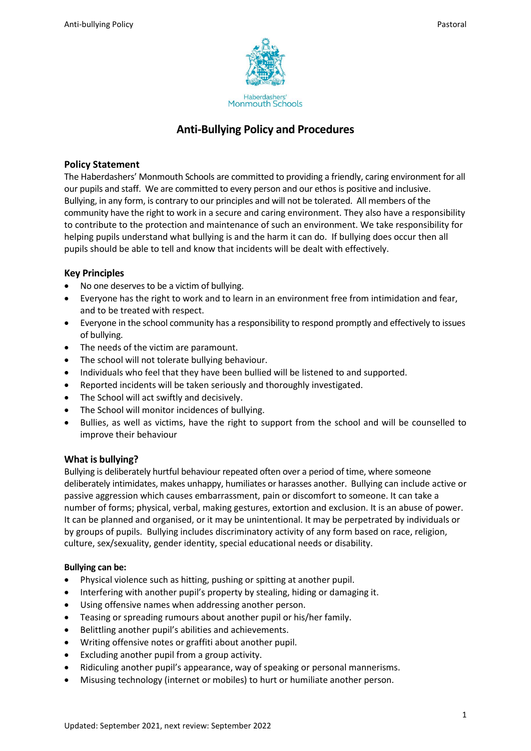

# **Anti-Bullying Policy and Procedures**

# **Policy Statement**

The Haberdashers' Monmouth Schools are committed to providing a friendly, caring environment for all our pupils and staff. We are committed to every person and our ethos is positive and inclusive. Bullying, in any form, is contrary to our principles and will not be tolerated. All members of the community have the right to work in a secure and caring environment. They also have a responsibility to contribute to the protection and maintenance of such an environment. We take responsibility for helping pupils understand what bullying is and the harm it can do. If bullying does occur then all pupils should be able to tell and know that incidents will be dealt with effectively.

# **Key Principles**

- No one deserves to be a victim of bullying.
- Everyone has the right to work and to learn in an environment free from intimidation and fear, and to be treated with respect.
- Everyone in the school community has a responsibility to respond promptly and effectively to issues of bullying.
- The needs of the victim are paramount.
- The school will not tolerate bullying behaviour.
- Individuals who feel that they have been bullied will be listened to and supported.
- Reported incidents will be taken seriously and thoroughly investigated.
- The School will act swiftly and decisively.
- The School will monitor incidences of bullying.
- Bullies, as well as victims, have the right to support from the school and will be counselled to improve their behaviour

# **What is bullying?**

Bullying is deliberately hurtful behaviour repeated often over a period of time, where someone deliberately intimidates, makes unhappy, humiliates or harasses another. Bullying can include active or passive aggression which causes embarrassment, pain or discomfort to someone. It can take a number of forms; physical, verbal, making gestures, extortion and exclusion. It is an abuse of power. It can be planned and organised, or it may be unintentional. It may be perpetrated by individuals or by groups of pupils. Bullying includes discriminatory activity of any form based on race, religion, culture, sex/sexuality, gender identity, special educational needs or disability.

# **Bullying can be:**

- Physical violence such as hitting, pushing or spitting at another pupil.
- Interfering with another pupil's property by stealing, hiding or damaging it.
- Using offensive names when addressing another person.
- Teasing or spreading rumours about another pupil or his/her family.
- Belittling another pupil's abilities and achievements.
- Writing offensive notes or graffiti about another pupil.
- Excluding another pupil from a group activity.
- Ridiculing another pupil's appearance, way of speaking or personal mannerisms.
- Misusing technology (internet or mobiles) to hurt or humiliate another person.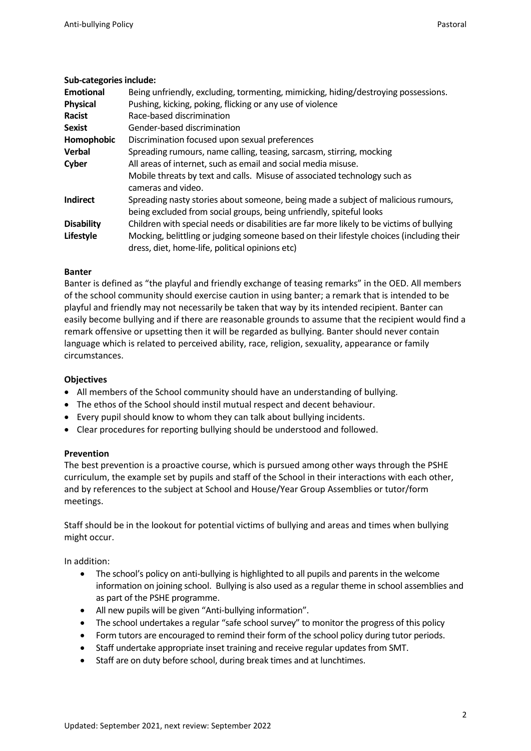### **Sub-categories include:**

| <b>Emotional</b>  | Being unfriendly, excluding, tormenting, mimicking, hiding/destroying possessions.        |
|-------------------|-------------------------------------------------------------------------------------------|
| <b>Physical</b>   | Pushing, kicking, poking, flicking or any use of violence                                 |
| Racist            | Race-based discrimination                                                                 |
| <b>Sexist</b>     | Gender-based discrimination                                                               |
| Homophobic        | Discrimination focused upon sexual preferences                                            |
| <b>Verbal</b>     | Spreading rumours, name calling, teasing, sarcasm, stirring, mocking                      |
| Cyber             | All areas of internet, such as email and social media misuse.                             |
|                   | Mobile threats by text and calls. Misuse of associated technology such as                 |
|                   | cameras and video.                                                                        |
| <b>Indirect</b>   | Spreading nasty stories about someone, being made a subject of malicious rumours,         |
|                   | being excluded from social groups, being unfriendly, spiteful looks                       |
| <b>Disability</b> | Children with special needs or disabilities are far more likely to be victims of bullying |
| Lifestyle         | Mocking, belittling or judging someone based on their lifestyle choices (including their  |
|                   | dress, diet, home-life, political opinions etc)                                           |

### **Banter**

Banter is defined as "the playful and friendly exchange of teasing remarks" in the OED. All members of the school community should exercise caution in using banter; a remark that is intended to be playful and friendly may not necessarily be taken that way by its intended recipient. Banter can easily become bullying and if there are reasonable grounds to assume that the recipient would find a remark offensive or upsetting then it will be regarded as bullying. Banter should never contain language which is related to perceived ability, race, religion, sexuality, appearance or family circumstances.

### **Objectives**

- All members of the School community should have an understanding of bullying.
- The ethos of the School should instil mutual respect and decent behaviour.
- Every pupil should know to whom they can talk about bullying incidents.
- Clear procedures for reporting bullying should be understood and followed.

### **Prevention**

The best prevention is a proactive course, which is pursued among other ways through the PSHE curriculum, the example set by pupils and staff of the School in their interactions with each other, and by references to the subject at School and House/Year Group Assemblies or tutor/form meetings.

Staff should be in the lookout for potential victims of bullying and areas and times when bullying might occur.

In addition:

- The school's policy on anti-bullying is highlighted to all pupils and parents in the welcome information on joining school. Bullying is also used as a regular theme in school assemblies and as part of the PSHE programme.
- All new pupils will be given "Anti-bullying information".
- The school undertakes a regular "safe school survey" to monitor the progress of this policy
- Form tutors are encouraged to remind their form of the school policy during tutor periods.
- Staff undertake appropriate inset training and receive regular updates from SMT.
- Staff are on duty before school, during break times and at lunchtimes.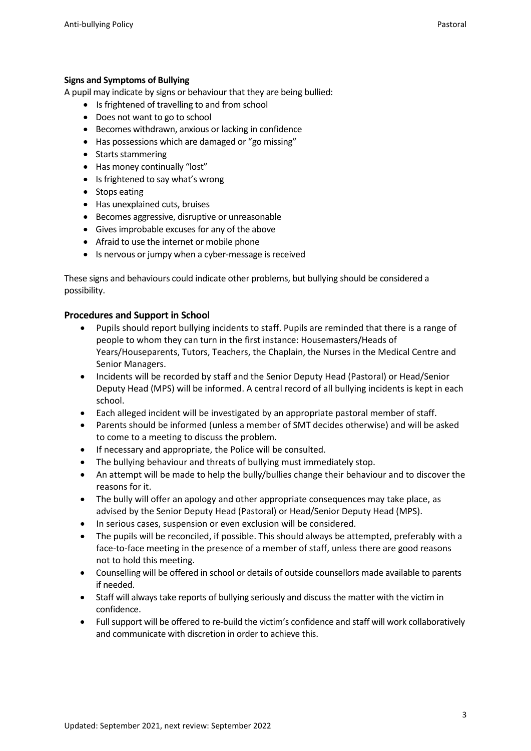# **Signs and Symptoms of Bullying**

A pupil may indicate by signs or behaviour that they are being bullied:

- Is frightened of travelling to and from school
- Does not want to go to school
- Becomes withdrawn, anxious or lacking in confidence
- Has possessions which are damaged or "go missing"
- Starts stammering
- Has money continually "lost"
- Is frightened to say what's wrong
- Stops eating
- Has unexplained cuts, bruises
- Becomes aggressive, disruptive or unreasonable
- Gives improbable excuses for any of the above
- Afraid to use the internet or mobile phone
- Is nervous or jumpy when a cyber-message is received

These signs and behaviours could indicate other problems, but bullying should be considered a possibility.

### **Procedures and Support in School**

- Pupils should report bullying incidents to staff. Pupils are reminded that there is a range of people to whom they can turn in the first instance: Housemasters/Heads of Years/Houseparents, Tutors, Teachers, the Chaplain, the Nurses in the Medical Centre and Senior Managers.
- Incidents will be recorded by staff and the Senior Deputy Head (Pastoral) or Head/Senior Deputy Head (MPS) will be informed. A central record of all bullying incidents is kept in each school.
- Each alleged incident will be investigated by an appropriate pastoral member of staff.
- Parents should be informed (unless a member of SMT decides otherwise) and will be asked to come to a meeting to discuss the problem.
- If necessary and appropriate, the Police will be consulted.
- The bullying behaviour and threats of bullying must immediately stop.
- An attempt will be made to help the bully/bullies change their behaviour and to discover the reasons for it.
- The bully will offer an apology and other appropriate consequences may take place, as advised by the Senior Deputy Head (Pastoral) or Head/Senior Deputy Head (MPS).
- In serious cases, suspension or even exclusion will be considered.
- The pupils will be reconciled, if possible. This should always be attempted, preferably with a face-to-face meeting in the presence of a member of staff, unless there are good reasons not to hold this meeting.
- Counselling will be offered in school or details of outside counsellors made available to parents if needed.
- Staff will always take reports of bullying seriously and discuss the matter with the victim in confidence.
- Full support will be offered to re-build the victim's confidence and staff will work collaboratively and communicate with discretion in order to achieve this.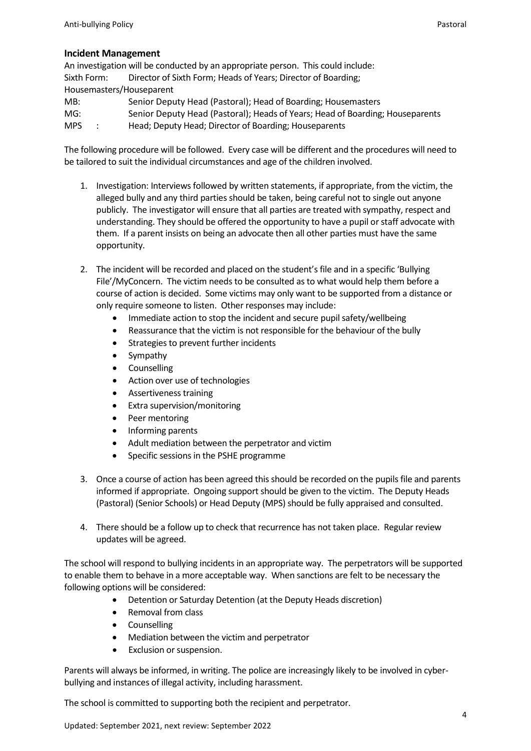### **Incident Management**

An investigation will be conducted by an appropriate person. This could include: Sixth Form: Director of Sixth Form; Heads of Years; Director of Boarding; Housemasters/Houseparent MB: Senior Deputy Head (Pastoral); Head of Boarding; Housemasters

MG: Senior Deputy Head (Pastoral); Heads of Years; Head of Boarding; Houseparents

MPS : Head; Deputy Head; Director of Boarding; Houseparents

The following procedure will be followed. Every case will be different and the procedures will need to be tailored to suit the individual circumstances and age of the children involved.

- 1. Investigation: Interviews followed by written statements, if appropriate, from the victim, the alleged bully and any third parties should be taken, being careful not to single out anyone publicly. The investigator will ensure that all parties are treated with sympathy, respect and understanding. They should be offered the opportunity to have a pupil or staff advocate with them. If a parent insists on being an advocate then all other parties must have the same opportunity.
- 2. The incident will be recorded and placed on the student's file and in a specific 'Bullying File'/MyConcern. The victim needs to be consulted as to what would help them before a course of action is decided. Some victims may only want to be supported from a distance or only require someone to listen. Other responses may include:
	- Immediate action to stop the incident and secure pupil safety/wellbeing
	- Reassurance that the victim is not responsible for the behaviour of the bully
	- Strategies to prevent further incidents
	- **Sympathy**
	- Counselling
	- Action over use of technologies
	- Assertiveness training
	- Extra supervision/monitoring
	- Peer mentoring
	- Informing parents
	- Adult mediation between the perpetrator and victim
	- Specific sessions in the PSHE programme
- 3. Once a course of action has been agreed this should be recorded on the pupils file and parents informed if appropriate. Ongoing support should be given to the victim. The Deputy Heads (Pastoral) (Senior Schools) or Head Deputy (MPS) should be fully appraised and consulted.
- 4. There should be a follow up to check that recurrence has not taken place. Regular review updates will be agreed.

The school will respond to bullying incidents in an appropriate way. The perpetrators will be supported to enable them to behave in a more acceptable way. When sanctions are felt to be necessary the following options will be considered:

- Detention or Saturday Detention (at the Deputy Heads discretion)
- Removal from class
- Counselling
- Mediation between the victim and perpetrator
- Exclusion or suspension.

Parents will always be informed, in writing. The police are increasingly likely to be involved in cyberbullying and instances of illegal activity, including harassment.

The school is committed to supporting both the recipient and perpetrator.

Updated: September 2021, next review: September 2022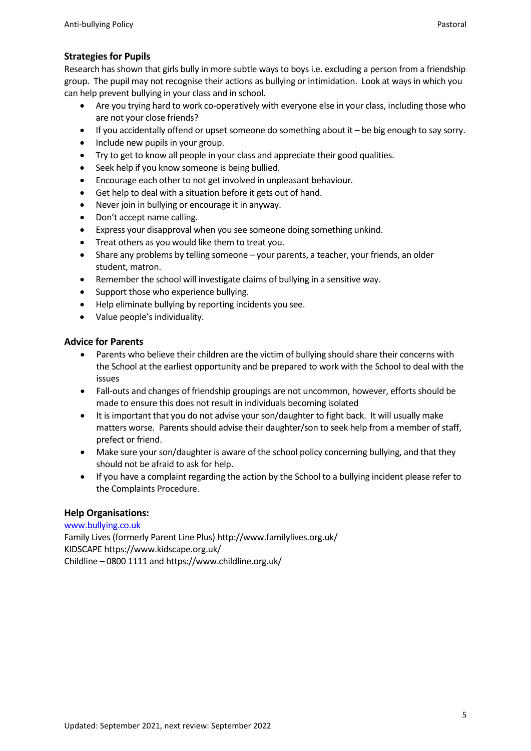# **Strategies for Pupils**

Research has shown that girls bully in more subtle ways to boys i.e. excluding a person from a friendship group. The pupil may not recognise their actions as bullying or intimidation. Look at ways in which you can help prevent bullying in your class and in school.

- Are you trying hard to work co-operatively with everyone else in your class, including those who are not your close friends?
- $\bullet$  If you accidentally offend or upset someone do something about it  $-$  be big enough to say sorry.
- Include new pupils in your group.
- Try to get to know all people in your class and appreciate their good qualities.
- Seek help if you know someone is being bullied.
- Encourage each other to not get involved in unpleasant behaviour.
- Get help to deal with a situation before it gets out of hand.
- Never join in bullying or encourage it in anyway.
- Don't accept name calling.
- Express your disapproval when you see someone doing something unkind.
- Treat others as you would like them to treat you.
- Share any problems by telling someone your parents, a teacher, your friends, an older student, matron.
- Remember the school will investigate claims of bullying in a sensitive way.
- Support those who experience bullying.
- Help eliminate bullying by reporting incidents you see.
- Value people's individuality.

# **Advice for Parents**

- Parents who believe their children are the victim of bullying should share their concerns with the School at the earliest opportunity and be prepared to work with the School to deal with the issues
- Fall-outs and changes of friendship groupings are not uncommon, however, efforts should be made to ensure this does not result in individuals becoming isolated
- It is important that you do not advise your son/daughter to fight back. It will usually make matters worse. Parents should advise their daughter/son to seek help from a member of staff, prefect or friend.
- Make sure your son/daughter is aware of the school policy concerning bullying, and that they should not be afraid to ask for help.
- If you have a complaint regarding the action by the School to a bullying incident please refer to the Complaints Procedure.

# **Help Organisations:**

[www.bullying.co.uk](http://www.bullying.co.uk/)

Family Lives (formerly Parent Line Plus) http://www.familylives.org.uk/ KIDSCAPE https://www.kidscape.org.uk/ Childline – 0800 1111 and https://www.childline.org.uk/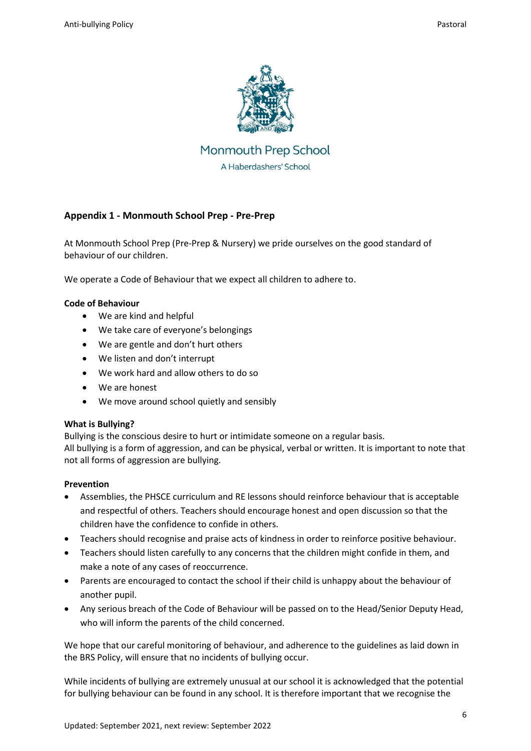

Monmouth Prep School A Haberdashers' School

# **Appendix 1 - Monmouth School Prep - Pre-Prep**

At Monmouth School Prep (Pre-Prep & Nursery) we pride ourselves on the good standard of behaviour of our children.

We operate a Code of Behaviour that we expect all children to adhere to.

### **Code of Behaviour**

- We are kind and helpful
- We take care of everyone's belongings
- We are gentle and don't hurt others
- We listen and don't interrupt
- We work hard and allow others to do so
- We are honest
- We move around school quietly and sensibly

### **What is Bullying?**

Bullying is the conscious desire to hurt or intimidate someone on a regular basis. All bullying is a form of aggression, and can be physical, verbal or written. It is important to note that not all forms of aggression are bullying.

### **Prevention**

- Assemblies, the PHSCE curriculum and RE lessons should reinforce behaviour that is acceptable and respectful of others. Teachers should encourage honest and open discussion so that the children have the confidence to confide in others.
- Teachers should recognise and praise acts of kindness in order to reinforce positive behaviour.
- Teachers should listen carefully to any concerns that the children might confide in them, and make a note of any cases of reoccurrence.
- Parents are encouraged to contact the school if their child is unhappy about the behaviour of another pupil.
- Any serious breach of the Code of Behaviour will be passed on to the Head/Senior Deputy Head, who will inform the parents of the child concerned.

We hope that our careful monitoring of behaviour, and adherence to the guidelines as laid down in the BRS Policy, will ensure that no incidents of bullying occur.

While incidents of bullying are extremely unusual at our school it is acknowledged that the potential for bullying behaviour can be found in any school. It is therefore important that we recognise the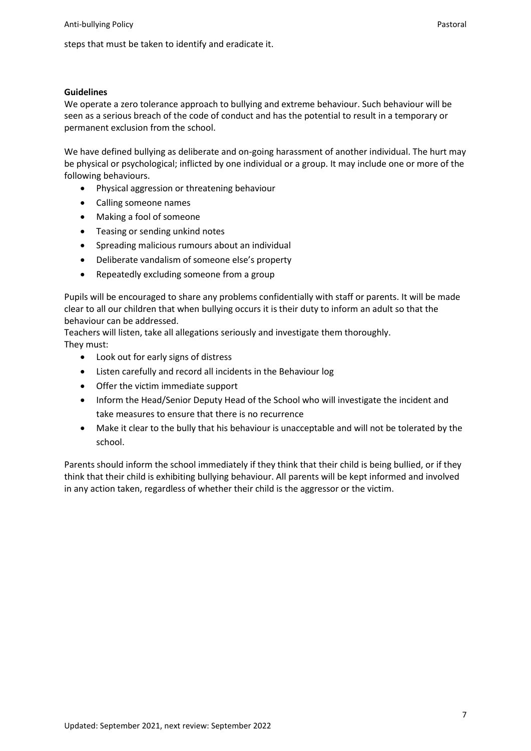steps that must be taken to identify and eradicate it.

#### **Guidelines**

We operate a zero tolerance approach to bullying and extreme behaviour. Such behaviour will be seen as a serious breach of the code of conduct and has the potential to result in a temporary or permanent exclusion from the school.

We have defined bullying as deliberate and on-going harassment of another individual. The hurt may be physical or psychological; inflicted by one individual or a group. It may include one or more of the following behaviours.

- Physical aggression or threatening behaviour
- Calling someone names
- Making a fool of someone
- Teasing or sending unkind notes
- Spreading malicious rumours about an individual
- Deliberate vandalism of someone else's property
- Repeatedly excluding someone from a group

Pupils will be encouraged to share any problems confidentially with staff or parents. It will be made clear to all our children that when bullying occurs it is their duty to inform an adult so that the behaviour can be addressed.

Teachers will listen, take all allegations seriously and investigate them thoroughly. They must:

- Look out for early signs of distress
- Listen carefully and record all incidents in the Behaviour log
- Offer the victim immediate support
- Inform the Head/Senior Deputy Head of the School who will investigate the incident and take measures to ensure that there is no recurrence
- Make it clear to the bully that his behaviour is unacceptable and will not be tolerated by the school.

Parents should inform the school immediately if they think that their child is being bullied, or if they think that their child is exhibiting bullying behaviour. All parents will be kept informed and involved in any action taken, regardless of whether their child is the aggressor or the victim.